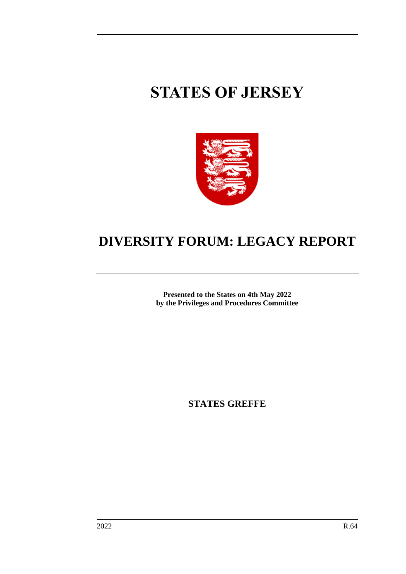# **STATES OF JERSEY**



## **DIVERSITY FORUM: LEGACY REPORT**

**Presented to the States on 4th May 2022 by the Privileges and Procedures Committee**

**STATES GREFFE**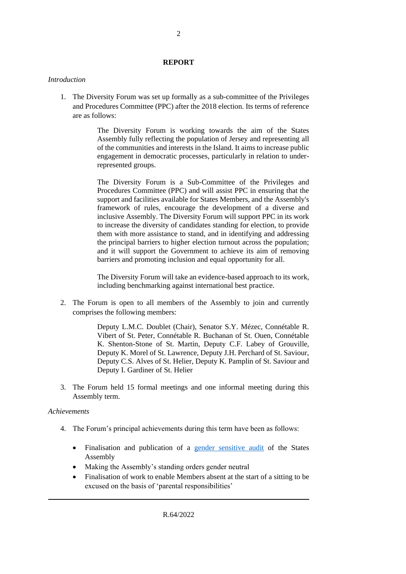#### **REPORT**

#### *Introduction*

1. The Diversity Forum was set up formally as a sub-committee of the Privileges and Procedures Committee (PPC) after the 2018 election. Its terms of reference are as follows:

> The Diversity Forum is working towards the aim of the States Assembly fully reflecting the population of Jersey and representing all of the communities and interests in the Island. It aims to increase public engagement in democratic processes, particularly in relation to underrepresented groups.

> The Diversity Forum is a Sub-Committee of the Privileges and Procedures Committee (PPC) and will assist PPC in ensuring that the support and facilities available for States Members, and the Assembly's framework of rules, encourage the development of a diverse and inclusive Assembly. The Diversity Forum will support PPC in its work to increase the diversity of candidates standing for election, to provide them with more assistance to stand, and in identifying and addressing the principal barriers to higher election turnout across the population; and it will support the Government to achieve its aim of removing barriers and promoting inclusion and equal opportunity for all.

> The Diversity Forum will take an evidence-based approach to its work, including benchmarking against international best practice.

2. The Forum is open to all members of the Assembly to join and currently comprises the following members:

> Deputy L.M.C. Doublet (Chair), Senator S.Y. Mézec, Connétable R. Vibert of St. Peter, Connétable R. Buchanan of St. Ouen, Connétable K. Shenton-Stone of St. Martin, Deputy C.F. Labey of Grouville, Deputy K. Morel of St. Lawrence, Deputy J.H. Perchard of St. Saviour, Deputy C.S. Alves of St. Helier, Deputy K. Pamplin of St. Saviour and Deputy I. Gardiner of St. Helier

3. The Forum held 15 formal meetings and one informal meeting during this Assembly term.

#### *Achievements*

- 4. The Forum's principal achievements during this term have been as follows:
	- Finalisation and publication of a [gender sensitive audit](https://statesassembly.gov.je/assemblyreports/2019/r.96-2019(re-issue).pdf) of the States Assembly
	- Making the Assembly's standing orders gender neutral
	- Finalisation of work to enable Members absent at the start of a sitting to be excused on the basis of 'parental responsibilities'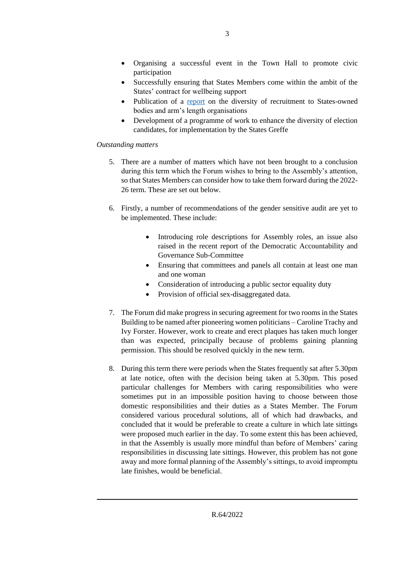- Organising a successful event in the Town Hall to promote civic participation
- Successfully ensuring that States Members come within the ambit of the States' contract for wellbeing support
- Publication of a [report](https://statesassembly.gov.je/assemblyreports/2022/r.25-2022.pdf) on the diversity of recruitment to States-owned bodies and arm's length organisations
- Development of a programme of work to enhance the diversity of election candidates, for implementation by the States Greffe

#### *Outstanding matters*

- 5. There are a number of matters which have not been brought to a conclusion during this term which the Forum wishes to bring to the Assembly's attention, so that States Members can consider how to take them forward during the 2022- 26 term. These are set out below.
- 6. Firstly, a number of recommendations of the gender sensitive audit are yet to be implemented. These include:
	- Introducing role descriptions for Assembly roles, an issue also raised in the recent report of the Democratic Accountability and Governance Sub-Committee
	- Ensuring that committees and panels all contain at least one man and one woman
	- Consideration of introducing a public sector equality duty
	- Provision of official sex-disaggregated data.
- 7. The Forum did make progress in securing agreement for two rooms in the States Building to be named after pioneering women politicians – Caroline Trachy and Ivy Forster. However, work to create and erect plaques has taken much longer than was expected, principally because of problems gaining planning permission. This should be resolved quickly in the new term.
- 8. During this term there were periods when the States frequently sat after 5.30pm at late notice, often with the decision being taken at 5.30pm. This posed particular challenges for Members with caring responsibilities who were sometimes put in an impossible position having to choose between those domestic responsibilities and their duties as a States Member. The Forum considered various procedural solutions, all of which had drawbacks, and concluded that it would be preferable to create a culture in which late sittings were proposed much earlier in the day. To some extent this has been achieved, in that the Assembly is usually more mindful than before of Members' caring responsibilities in discussing late sittings. However, this problem has not gone away and more formal planning of the Assembly's sittings, to avoid impromptu late finishes, would be beneficial.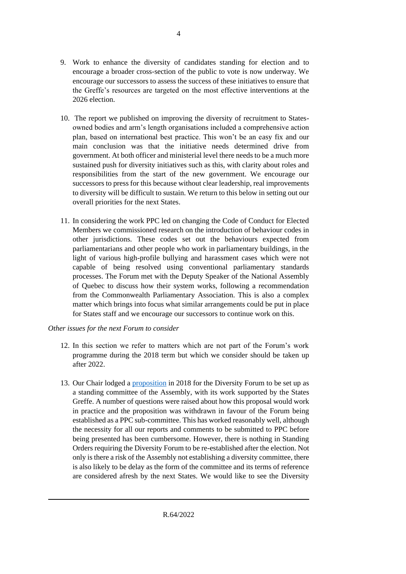- 10. The report we published on improving the diversity of recruitment to Statesowned bodies and arm's length organisations included a comprehensive action plan, based on international best practice. This won't be an easy fix and our main conclusion was that the initiative needs determined drive from government. At both officer and ministerial level there needs to be a much more sustained push for diversity initiatives such as this, with clarity about roles and responsibilities from the start of the new government. We encourage our successors to press for this because without clear leadership, real improvements to diversity will be difficult to sustain. We return to this below in setting out our overall priorities for the next States.
- 11. In considering the work PPC led on changing the Code of Conduct for Elected Members we commissioned research on the introduction of behaviour codes in other jurisdictions. These codes set out the behaviours expected from parliamentarians and other people who work in parliamentary buildings, in the light of various high-profile bullying and harassment cases which were not capable of being resolved using conventional parliamentary standards processes. The Forum met with the Deputy Speaker of the National Assembly of Quebec to discuss how their system works, following a recommendation from the Commonwealth Parliamentary Association. This is also a complex matter which brings into focus what similar arrangements could be put in place for States staff and we encourage our successors to continue work on this.

### *Other issues for the next Forum to consider*

- 12. In this section we refer to matters which are not part of the Forum's work programme during the 2018 term but which we consider should be taken up after 2022.
- 13. Our Chair lodged a [proposition](https://statesassembly.gov.je/assemblypropositions/2018/p.135-2018.pdf) in 2018 for the Diversity Forum to be set up as a standing committee of the Assembly, with its work supported by the States Greffe. A number of questions were raised about how this proposal would work in practice and the proposition was withdrawn in favour of the Forum being established as a PPC sub-committee. This has worked reasonably well, although the necessity for all our reports and comments to be submitted to PPC before being presented has been cumbersome. However, there is nothing in Standing Orders requiring the Diversity Forum to be re-established after the election. Not only is there a risk of the Assembly not establishing a diversity committee, there is also likely to be delay as the form of the committee and its terms of reference are considered afresh by the next States. We would like to see the Diversity